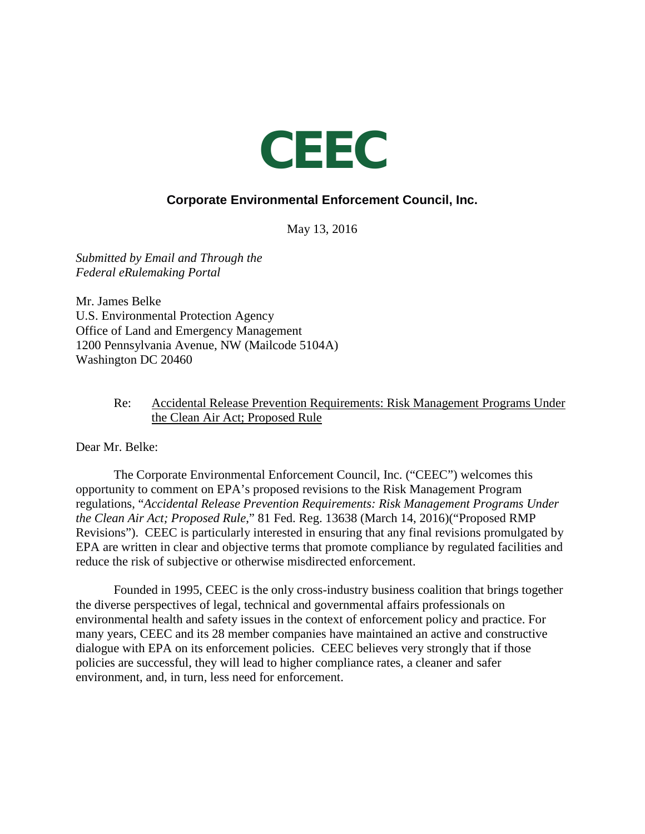

# **Corporate Environmental Enforcement Council, Inc.**

May 13, 2016

*Submitted by Email and Through the Federal eRulemaking Portal*

Mr. James Belke U.S. Environmental Protection Agency Office of Land and Emergency Management 1200 Pennsylvania Avenue, NW (Mailcode 5104A) Washington DC 20460

#### Re: Accidental Release Prevention Requirements: Risk Management Programs Under the Clean Air Act; Proposed Rule

Dear Mr. Belke:

The Corporate Environmental Enforcement Council, Inc. ("CEEC") welcomes this opportunity to comment on EPA's proposed revisions to the Risk Management Program regulations, "*Accidental Release Prevention Requirements: Risk Management Programs Under the Clean Air Act; Proposed Rule*," 81 Fed. Reg. 13638 (March 14, 2016)("Proposed RMP Revisions"). CEEC is particularly interested in ensuring that any final revisions promulgated by EPA are written in clear and objective terms that promote compliance by regulated facilities and reduce the risk of subjective or otherwise misdirected enforcement.

Founded in 1995, CEEC is the only cross-industry business coalition that brings together the diverse perspectives of legal, technical and governmental affairs professionals on environmental health and safety issues in the context of enforcement policy and practice. For many years, CEEC and its 28 member companies have maintained an active and constructive dialogue with EPA on its enforcement policies. CEEC believes very strongly that if those policies are successful, they will lead to higher compliance rates, a cleaner and safer environment, and, in turn, less need for enforcement.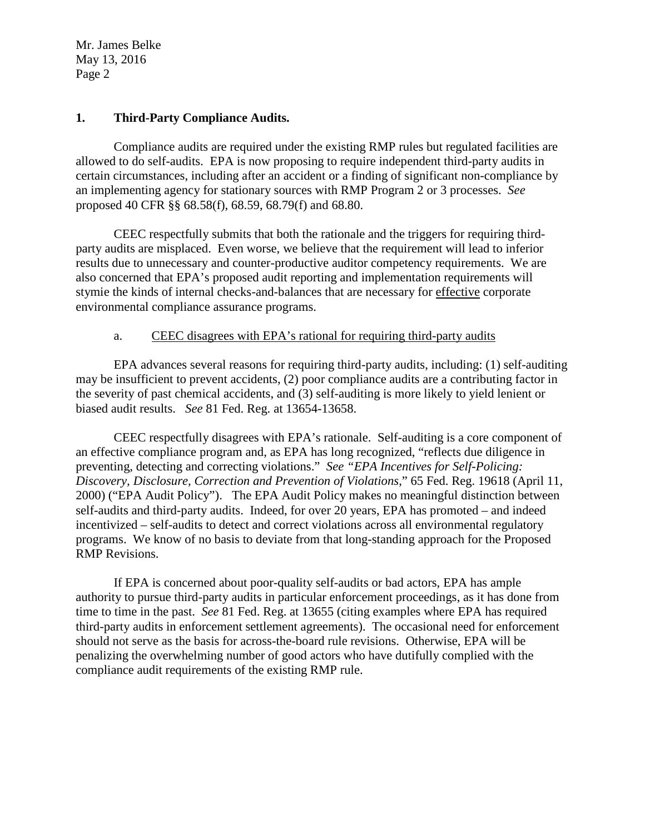### **1. Third-Party Compliance Audits.**

Compliance audits are required under the existing RMP rules but regulated facilities are allowed to do self-audits. EPA is now proposing to require independent third-party audits in certain circumstances, including after an accident or a finding of significant non-compliance by an implementing agency for stationary sources with RMP Program 2 or 3 processes. *See* proposed 40 CFR §§ 68.58(f), 68.59, 68.79(f) and 68.80.

CEEC respectfully submits that both the rationale and the triggers for requiring thirdparty audits are misplaced. Even worse, we believe that the requirement will lead to inferior results due to unnecessary and counter-productive auditor competency requirements. We are also concerned that EPA's proposed audit reporting and implementation requirements will stymie the kinds of internal checks-and-balances that are necessary for effective corporate environmental compliance assurance programs.

## a. CEEC disagrees with EPA's rational for requiring third-party audits

EPA advances several reasons for requiring third-party audits, including: (1) self-auditing may be insufficient to prevent accidents, (2) poor compliance audits are a contributing factor in the severity of past chemical accidents, and (3) self-auditing is more likely to yield lenient or biased audit results. *See* 81 Fed. Reg. at 13654-13658.

CEEC respectfully disagrees with EPA's rationale. Self-auditing is a core component of an effective compliance program and, as EPA has long recognized, "reflects due diligence in preventing, detecting and correcting violations." *See "EPA Incentives for Self-Policing: Discovery, Disclosure, Correction and Prevention of Violations*," 65 Fed. Reg. 19618 (April 11, 2000) ("EPA Audit Policy"). The EPA Audit Policy makes no meaningful distinction between self-audits and third-party audits. Indeed, for over 20 years, EPA has promoted – and indeed incentivized – self-audits to detect and correct violations across all environmental regulatory programs. We know of no basis to deviate from that long-standing approach for the Proposed RMP Revisions.

If EPA is concerned about poor-quality self-audits or bad actors, EPA has ample authority to pursue third-party audits in particular enforcement proceedings, as it has done from time to time in the past. *See* 81 Fed. Reg. at 13655 (citing examples where EPA has required third-party audits in enforcement settlement agreements). The occasional need for enforcement should not serve as the basis for across-the-board rule revisions. Otherwise, EPA will be penalizing the overwhelming number of good actors who have dutifully complied with the compliance audit requirements of the existing RMP rule.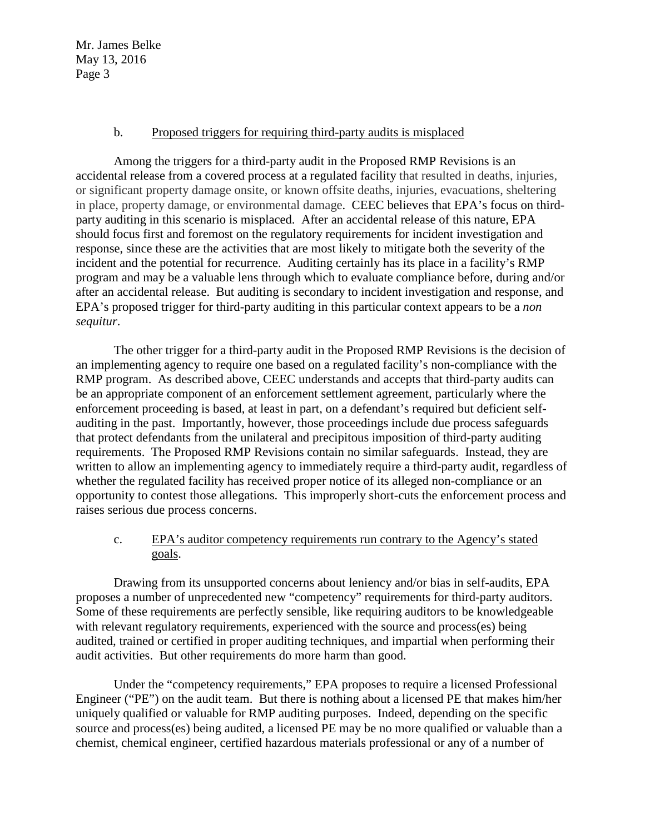## b. Proposed triggers for requiring third-party audits is misplaced

Among the triggers for a third-party audit in the Proposed RMP Revisions is an accidental release from a covered process at a regulated facility that resulted in deaths, injuries, or significant property damage onsite, or known offsite deaths, injuries, evacuations, sheltering in place, property damage, or environmental damage. CEEC believes that EPA's focus on thirdparty auditing in this scenario is misplaced. After an accidental release of this nature, EPA should focus first and foremost on the regulatory requirements for incident investigation and response, since these are the activities that are most likely to mitigate both the severity of the incident and the potential for recurrence. Auditing certainly has its place in a facility's RMP program and may be a valuable lens through which to evaluate compliance before, during and/or after an accidental release. But auditing is secondary to incident investigation and response, and EPA's proposed trigger for third-party auditing in this particular context appears to be a *non sequitur*.

The other trigger for a third-party audit in the Proposed RMP Revisions is the decision of an implementing agency to require one based on a regulated facility's non-compliance with the RMP program. As described above, CEEC understands and accepts that third-party audits can be an appropriate component of an enforcement settlement agreement, particularly where the enforcement proceeding is based, at least in part, on a defendant's required but deficient selfauditing in the past. Importantly, however, those proceedings include due process safeguards that protect defendants from the unilateral and precipitous imposition of third-party auditing requirements. The Proposed RMP Revisions contain no similar safeguards. Instead, they are written to allow an implementing agency to immediately require a third-party audit, regardless of whether the regulated facility has received proper notice of its alleged non-compliance or an opportunity to contest those allegations. This improperly short-cuts the enforcement process and raises serious due process concerns.

# c. EPA's auditor competency requirements run contrary to the Agency's stated goals.

Drawing from its unsupported concerns about leniency and/or bias in self-audits, EPA proposes a number of unprecedented new "competency" requirements for third-party auditors. Some of these requirements are perfectly sensible, like requiring auditors to be knowledgeable with relevant regulatory requirements, experienced with the source and process(es) being audited, trained or certified in proper auditing techniques, and impartial when performing their audit activities. But other requirements do more harm than good.

Under the "competency requirements," EPA proposes to require a licensed Professional Engineer ("PE") on the audit team. But there is nothing about a licensed PE that makes him/her uniquely qualified or valuable for RMP auditing purposes. Indeed, depending on the specific source and process(es) being audited, a licensed PE may be no more qualified or valuable than a chemist, chemical engineer, certified hazardous materials professional or any of a number of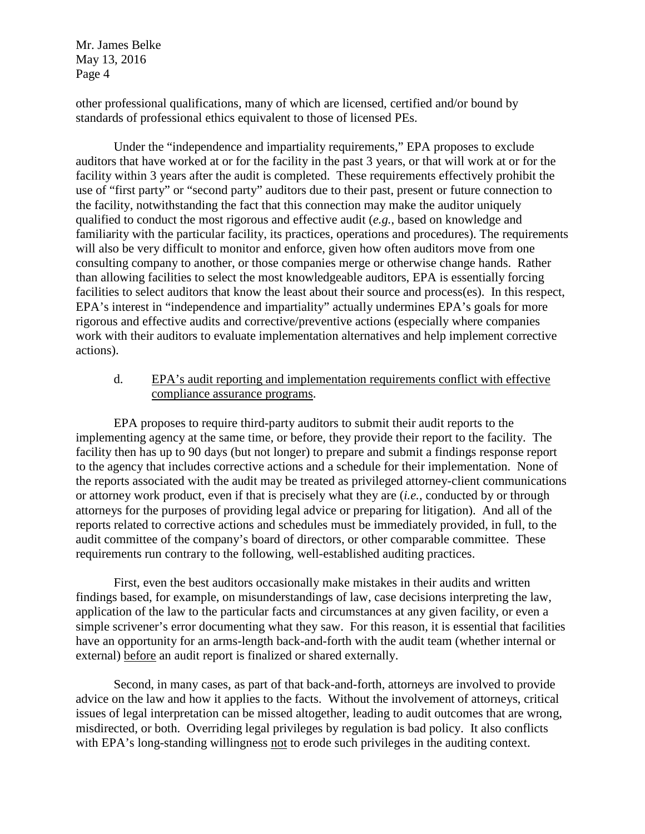other professional qualifications, many of which are licensed, certified and/or bound by standards of professional ethics equivalent to those of licensed PEs.

Under the "independence and impartiality requirements," EPA proposes to exclude auditors that have worked at or for the facility in the past 3 years, or that will work at or for the facility within 3 years after the audit is completed. These requirements effectively prohibit the use of "first party" or "second party" auditors due to their past, present or future connection to the facility, notwithstanding the fact that this connection may make the auditor uniquely qualified to conduct the most rigorous and effective audit (*e.g.*, based on knowledge and familiarity with the particular facility, its practices, operations and procedures). The requirements will also be very difficult to monitor and enforce, given how often auditors move from one consulting company to another, or those companies merge or otherwise change hands. Rather than allowing facilities to select the most knowledgeable auditors, EPA is essentially forcing facilities to select auditors that know the least about their source and process(es). In this respect, EPA's interest in "independence and impartiality" actually undermines EPA's goals for more rigorous and effective audits and corrective/preventive actions (especially where companies work with their auditors to evaluate implementation alternatives and help implement corrective actions).

## d. EPA's audit reporting and implementation requirements conflict with effective compliance assurance programs.

EPA proposes to require third-party auditors to submit their audit reports to the implementing agency at the same time, or before, they provide their report to the facility. The facility then has up to 90 days (but not longer) to prepare and submit a findings response report to the agency that includes corrective actions and a schedule for their implementation. None of the reports associated with the audit may be treated as privileged attorney-client communications or attorney work product, even if that is precisely what they are (*i.e.*, conducted by or through attorneys for the purposes of providing legal advice or preparing for litigation). And all of the reports related to corrective actions and schedules must be immediately provided, in full, to the audit committee of the company's board of directors, or other comparable committee. These requirements run contrary to the following, well-established auditing practices.

First, even the best auditors occasionally make mistakes in their audits and written findings based, for example, on misunderstandings of law, case decisions interpreting the law, application of the law to the particular facts and circumstances at any given facility, or even a simple scrivener's error documenting what they saw. For this reason, it is essential that facilities have an opportunity for an arms-length back-and-forth with the audit team (whether internal or external) before an audit report is finalized or shared externally.

Second, in many cases, as part of that back-and-forth, attorneys are involved to provide advice on the law and how it applies to the facts. Without the involvement of attorneys, critical issues of legal interpretation can be missed altogether, leading to audit outcomes that are wrong, misdirected, or both. Overriding legal privileges by regulation is bad policy. It also conflicts with EPA's long-standing willingness not to erode such privileges in the auditing context.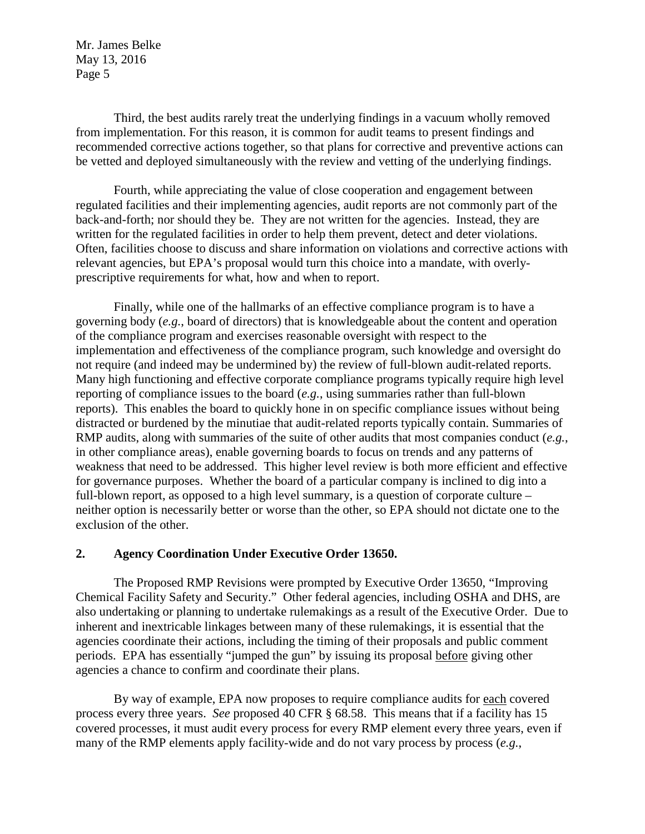Third, the best audits rarely treat the underlying findings in a vacuum wholly removed from implementation. For this reason, it is common for audit teams to present findings and recommended corrective actions together, so that plans for corrective and preventive actions can be vetted and deployed simultaneously with the review and vetting of the underlying findings.

Fourth, while appreciating the value of close cooperation and engagement between regulated facilities and their implementing agencies, audit reports are not commonly part of the back-and-forth; nor should they be. They are not written for the agencies. Instead, they are written for the regulated facilities in order to help them prevent, detect and deter violations. Often, facilities choose to discuss and share information on violations and corrective actions with relevant agencies, but EPA's proposal would turn this choice into a mandate, with overlyprescriptive requirements for what, how and when to report.

Finally, while one of the hallmarks of an effective compliance program is to have a governing body (*e.g.*, board of directors) that is knowledgeable about the content and operation of the compliance program and exercises reasonable oversight with respect to the implementation and effectiveness of the compliance program, such knowledge and oversight do not require (and indeed may be undermined by) the review of full-blown audit-related reports. Many high functioning and effective corporate compliance programs typically require high level reporting of compliance issues to the board (*e.g.*, using summaries rather than full-blown reports). This enables the board to quickly hone in on specific compliance issues without being distracted or burdened by the minutiae that audit-related reports typically contain. Summaries of RMP audits, along with summaries of the suite of other audits that most companies conduct (*e.g.*, in other compliance areas), enable governing boards to focus on trends and any patterns of weakness that need to be addressed. This higher level review is both more efficient and effective for governance purposes. Whether the board of a particular company is inclined to dig into a full-blown report, as opposed to a high level summary, is a question of corporate culture – neither option is necessarily better or worse than the other, so EPA should not dictate one to the exclusion of the other.

## **2. Agency Coordination Under Executive Order 13650.**

The Proposed RMP Revisions were prompted by Executive Order 13650, "Improving Chemical Facility Safety and Security." Other federal agencies, including OSHA and DHS, are also undertaking or planning to undertake rulemakings as a result of the Executive Order. Due to inherent and inextricable linkages between many of these rulemakings, it is essential that the agencies coordinate their actions, including the timing of their proposals and public comment periods. EPA has essentially "jumped the gun" by issuing its proposal before giving other agencies a chance to confirm and coordinate their plans.

By way of example, EPA now proposes to require compliance audits for each covered process every three years. *See* proposed 40 CFR § 68.58. This means that if a facility has 15 covered processes, it must audit every process for every RMP element every three years, even if many of the RMP elements apply facility-wide and do not vary process by process (*e.g.*,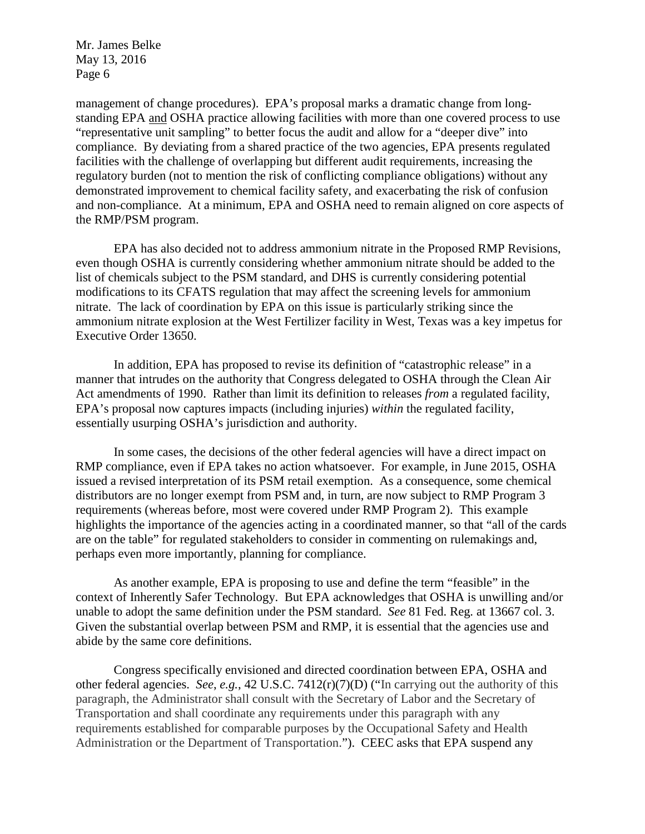management of change procedures). EPA's proposal marks a dramatic change from longstanding EPA and OSHA practice allowing facilities with more than one covered process to use "representative unit sampling" to better focus the audit and allow for a "deeper dive" into compliance. By deviating from a shared practice of the two agencies, EPA presents regulated facilities with the challenge of overlapping but different audit requirements, increasing the regulatory burden (not to mention the risk of conflicting compliance obligations) without any demonstrated improvement to chemical facility safety, and exacerbating the risk of confusion and non-compliance. At a minimum, EPA and OSHA need to remain aligned on core aspects of the RMP/PSM program.

EPA has also decided not to address ammonium nitrate in the Proposed RMP Revisions, even though OSHA is currently considering whether ammonium nitrate should be added to the list of chemicals subject to the PSM standard, and DHS is currently considering potential modifications to its CFATS regulation that may affect the screening levels for ammonium nitrate. The lack of coordination by EPA on this issue is particularly striking since the ammonium nitrate explosion at the West Fertilizer facility in West, Texas was a key impetus for Executive Order 13650.

In addition, EPA has proposed to revise its definition of "catastrophic release" in a manner that intrudes on the authority that Congress delegated to OSHA through the Clean Air Act amendments of 1990. Rather than limit its definition to releases *from* a regulated facility, EPA's proposal now captures impacts (including injuries) *within* the regulated facility, essentially usurping OSHA's jurisdiction and authority.

In some cases, the decisions of the other federal agencies will have a direct impact on RMP compliance, even if EPA takes no action whatsoever. For example, in June 2015, OSHA issued a revised interpretation of its PSM retail exemption. As a consequence, some chemical distributors are no longer exempt from PSM and, in turn, are now subject to RMP Program 3 requirements (whereas before, most were covered under RMP Program 2). This example highlights the importance of the agencies acting in a coordinated manner, so that "all of the cards" are on the table" for regulated stakeholders to consider in commenting on rulemakings and, perhaps even more importantly, planning for compliance.

As another example, EPA is proposing to use and define the term "feasible" in the context of Inherently Safer Technology. But EPA acknowledges that OSHA is unwilling and/or unable to adopt the same definition under the PSM standard. *See* 81 Fed. Reg. at 13667 col. 3. Given the substantial overlap between PSM and RMP, it is essential that the agencies use and abide by the same core definitions.

Congress specifically envisioned and directed coordination between EPA, OSHA and other federal agencies. *See*, *e.g.*, 42 U.S.C. 7412(r)(7)(D) ("In carrying out the authority of this paragraph, the Administrator shall consult with the Secretary of Labor and the Secretary of Transportation and shall coordinate any requirements under this paragraph with any requirements established for comparable purposes by the Occupational Safety and Health Administration or the Department of Transportation."). CEEC asks that EPA suspend any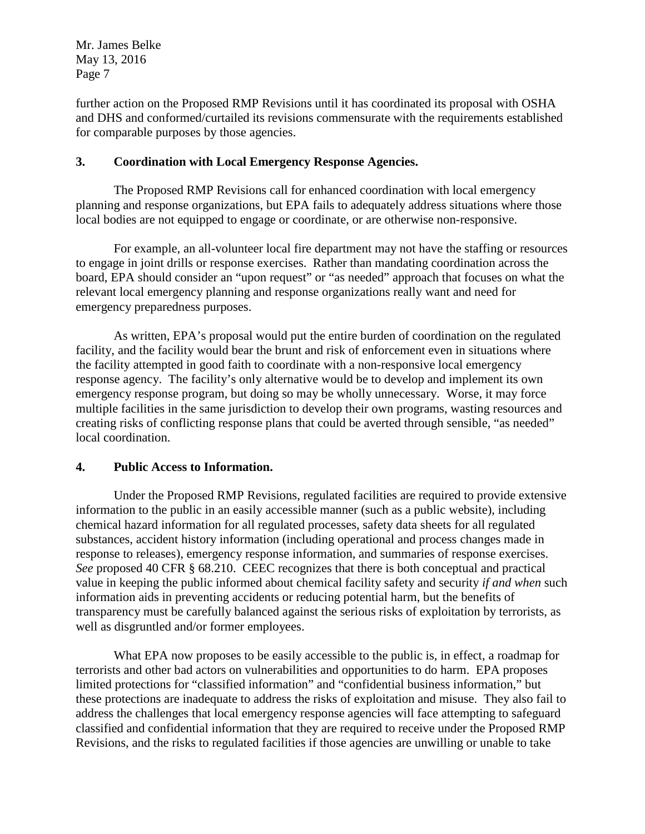further action on the Proposed RMP Revisions until it has coordinated its proposal with OSHA and DHS and conformed/curtailed its revisions commensurate with the requirements established for comparable purposes by those agencies.

# **3. Coordination with Local Emergency Response Agencies.**

The Proposed RMP Revisions call for enhanced coordination with local emergency planning and response organizations, but EPA fails to adequately address situations where those local bodies are not equipped to engage or coordinate, or are otherwise non-responsive.

For example, an all-volunteer local fire department may not have the staffing or resources to engage in joint drills or response exercises. Rather than mandating coordination across the board, EPA should consider an "upon request" or "as needed" approach that focuses on what the relevant local emergency planning and response organizations really want and need for emergency preparedness purposes.

As written, EPA's proposal would put the entire burden of coordination on the regulated facility, and the facility would bear the brunt and risk of enforcement even in situations where the facility attempted in good faith to coordinate with a non-responsive local emergency response agency. The facility's only alternative would be to develop and implement its own emergency response program, but doing so may be wholly unnecessary. Worse, it may force multiple facilities in the same jurisdiction to develop their own programs, wasting resources and creating risks of conflicting response plans that could be averted through sensible, "as needed" local coordination.

# **4. Public Access to Information.**

Under the Proposed RMP Revisions, regulated facilities are required to provide extensive information to the public in an easily accessible manner (such as a public website), including chemical hazard information for all regulated processes, safety data sheets for all regulated substances, accident history information (including operational and process changes made in response to releases), emergency response information, and summaries of response exercises. *See* proposed 40 CFR § 68.210. CEEC recognizes that there is both conceptual and practical value in keeping the public informed about chemical facility safety and security *if and when* such information aids in preventing accidents or reducing potential harm, but the benefits of transparency must be carefully balanced against the serious risks of exploitation by terrorists, as well as disgruntled and/or former employees.

What EPA now proposes to be easily accessible to the public is, in effect, a roadmap for terrorists and other bad actors on vulnerabilities and opportunities to do harm. EPA proposes limited protections for "classified information" and "confidential business information," but these protections are inadequate to address the risks of exploitation and misuse. They also fail to address the challenges that local emergency response agencies will face attempting to safeguard classified and confidential information that they are required to receive under the Proposed RMP Revisions, and the risks to regulated facilities if those agencies are unwilling or unable to take